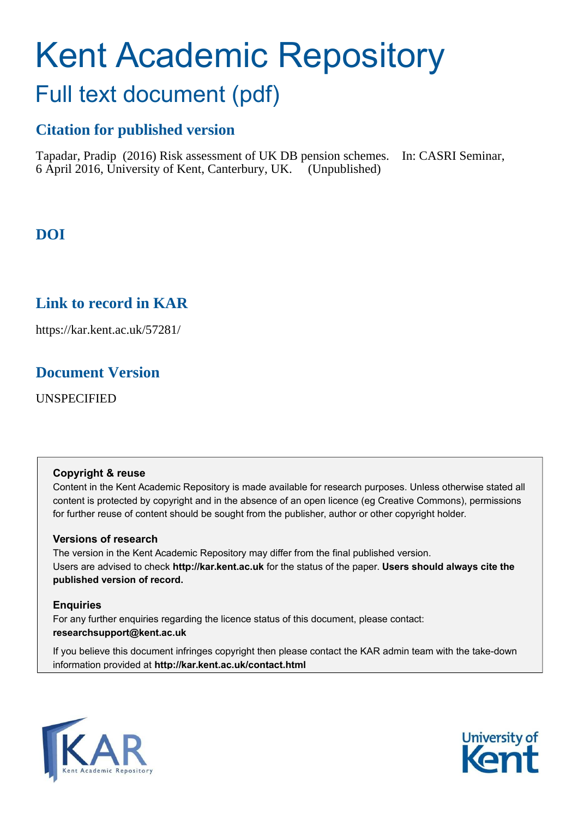# Kent Academic Repository Full text document (pdf)

## **Citation for published version**

Tapadar, Pradip (2016) Risk assessment of UK DB pension schemes. In: CASRI Seminar, 6 April 2016, University of Kent, Canterbury, UK. (Unpublished)

**DOI**

### <span id="page-0-0"></span>**Link to record in KAR**

https://kar.kent.ac.uk/57281/

### **Document Version**

UNSPECIFIED

#### **Copyright & reuse**

Content in the Kent Academic Repository is made available for research purposes. Unless otherwise stated all content is protected by copyright and in the absence of an open licence (eg Creative Commons), permissions for further reuse of content should be sought from the publisher, author or other copyright holder.

#### **Versions of research**

The version in the Kent Academic Repository may differ from the final published version. Users are advised to check **http://kar.kent.ac.uk** for the status of the paper. **Users should always cite the published version of record.**

#### **Enquiries**

For any further enquiries regarding the licence status of this document, please contact: **researchsupport@kent.ac.uk**

If you believe this document infringes copyright then please contact the KAR admin team with the take-down information provided at **http://kar.kent.ac.uk/contact.html**



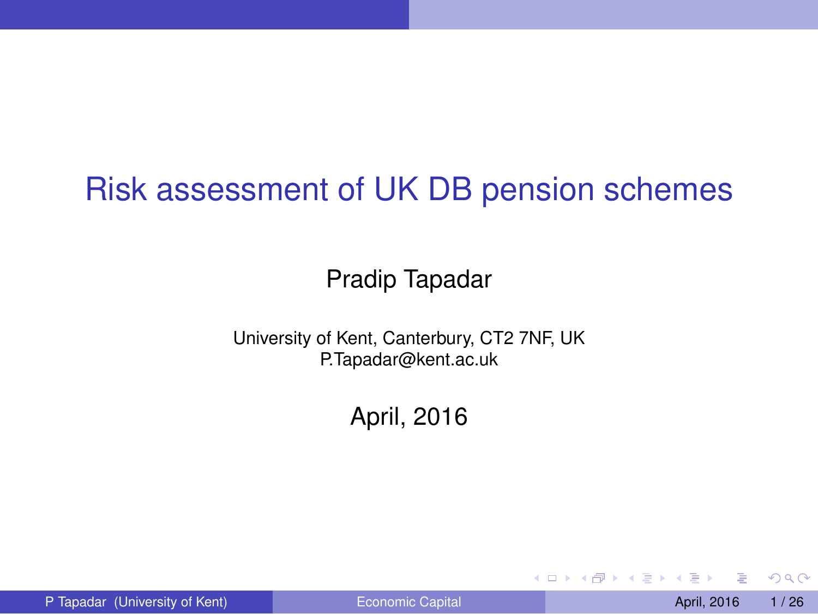### Risk assessment of UK DB pension schemes

#### Pradip Tapadar

University of Kent, Canterbury, CT2 7NF, UK P.Tapadar@kent.ac.uk

April, 2016

P Tapadar (University of Kent) **Example 2016** [Economic Capital](#page-25-0) April, 2016 1/26

 $QQ$ 

イロト イ押ト イヨト イヨ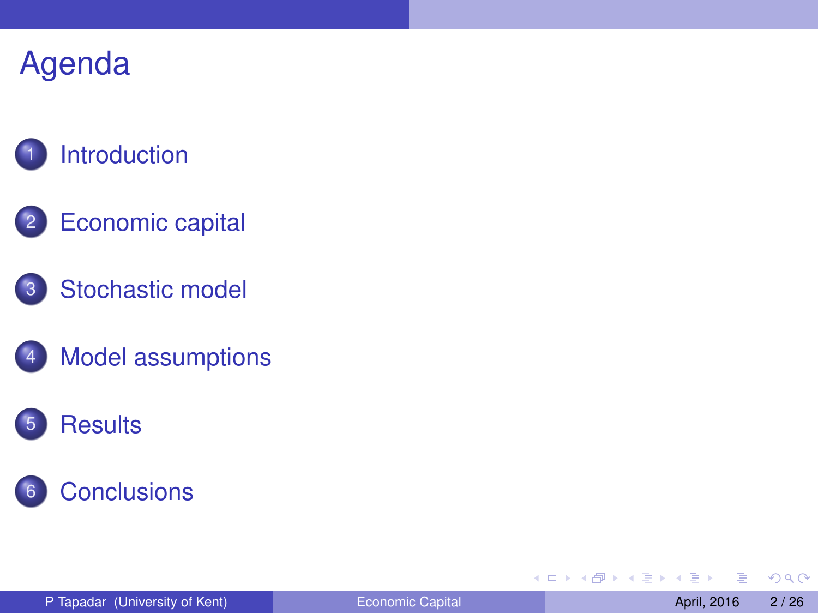### **[Introduction](#page-2-0)**

- 2 [Economic capital](#page-4-0)
- 3 [Stochastic model](#page-8-0)
- [Model assumptions](#page-11-0)

### 5 [Results](#page-15-0)



4 0 8

Æ.

×.  $\sim$   $\rightarrow$   $\equiv$   $\rightarrow$ 4 重 <span id="page-2-0"></span> $299$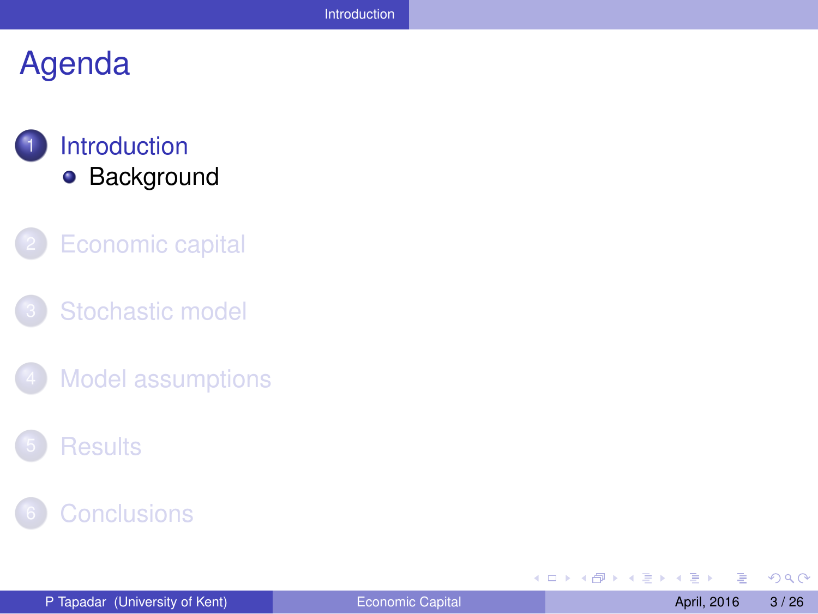### **[Introduction](#page-2-0) •** [Background](#page-3-0)

- **[Economic capital](#page-4-0)**
- [Stochastic model](#page-8-0)
- **[Model assumptions](#page-11-0)**
- **[Results](#page-15-0)**



4 0 8 1  $\leftarrow$   $\leftarrow$   $\leftarrow$  $\rightarrow$   $\pm$   $\rightarrow$ する

 $\rightarrow$ 

<span id="page-3-0"></span> $299$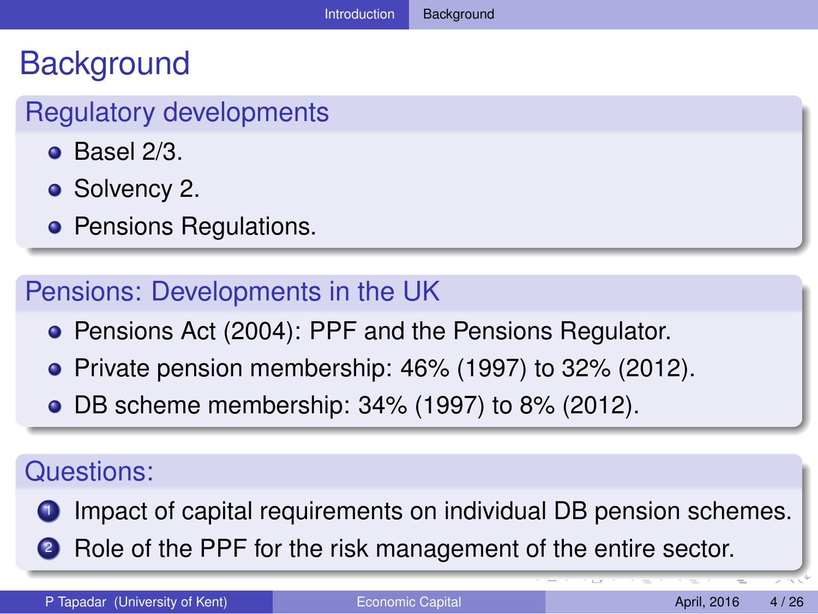### **Background**

#### Regulatory developments

- $\bullet$  Basel 2/3.
- Solvency 2.
- **Pensions Regulations.**

#### Pensions: Developments in the UK

- **Pensions Act (2004): PPF and the Pensions Regulator.**
- $\bullet$  Private pension membership: 46% (1997) to 32% (2012).
- DB scheme membership: 34% (1997) to 8% (2012).

#### Questions:

- **1** Impact of capital requirements on individual DB pension schemes.
- <span id="page-4-0"></span>**2** Role of the PPF for the risk management of the entire sector.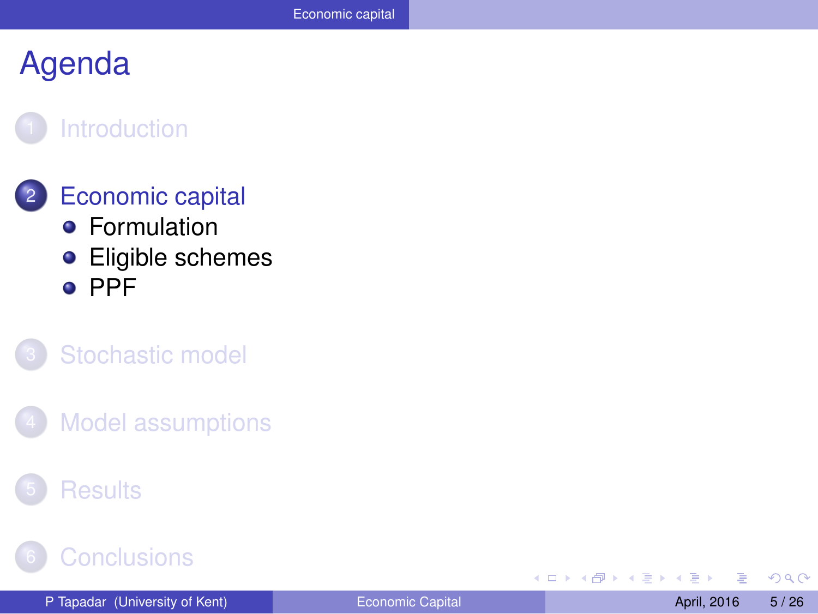#### **[Introduction](#page-2-0)**

#### **[Economic capital](#page-4-0) •** [Formulation](#page-5-0)

**•** [Eligible schemes](#page-6-0) o [PPF](#page-7-0)

#### [Stochastic model](#page-8-0)

**[Model assumptions](#page-11-0)** 

#### **[Results](#page-15-0)**

#### **[Conclusions](#page-24-0)**

4 0 8

A

×.  $\sim$   $\rightarrow$   $\equiv$   $\rightarrow$ ×. 舌 <span id="page-5-0"></span> $\Omega$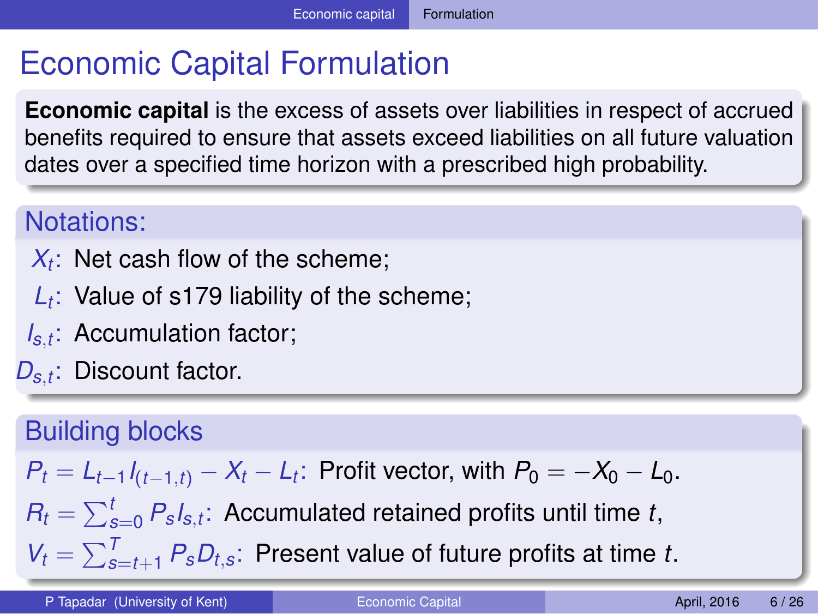### Economic Capital Formulation

**Economic capital** is the excess of assets over liabilities in respect of accrued benefits required to ensure that assets exceed liabilities on all future valuation dates over a specified time horizon with a prescribed high probability.

#### Notations:

- $X_t$ : Net cash flow of the scheme;
- *Lt* : Value of s179 liability of the scheme;
- *Is*,*t* : Accumulation factor;
- *Ds*,*<sup>t</sup>* : Discount factor.

#### Building blocks

$$
P_t = L_{t-1}I_{(t-1,t)} - X_t - L_t
$$
: Profit vector, with  $P_0 = -X_0 - L_0$ .

 $R_t = \sum_{s=0}^t P_s s_{t}$ ; Accumulated retained profits until time *t*,

<span id="page-6-0"></span> $V_t = \sum_{s=t+1}^{T} P_s D_{t,s}$  $V_t = \sum_{s=t+1}^{T} P_s D_{t,s}$  $V_t = \sum_{s=t+1}^{T} P_s D_{t,s}$  $V_t = \sum_{s=t+1}^{T} P_s D_{t,s}$  $V_t = \sum_{s=t+1}^{T} P_s D_{t,s}$  $V_t = \sum_{s=t+1}^{T} P_s D_{t,s}$  $V_t = \sum_{s=t+1}^{T} P_s D_{t,s}$ : Present value of future p[rofi](#page-4-0)[ts](#page-6-0) [at](#page-5-0) [ti](#page-6-0)m[e](#page-5-0) *t*[.](#page-3-0)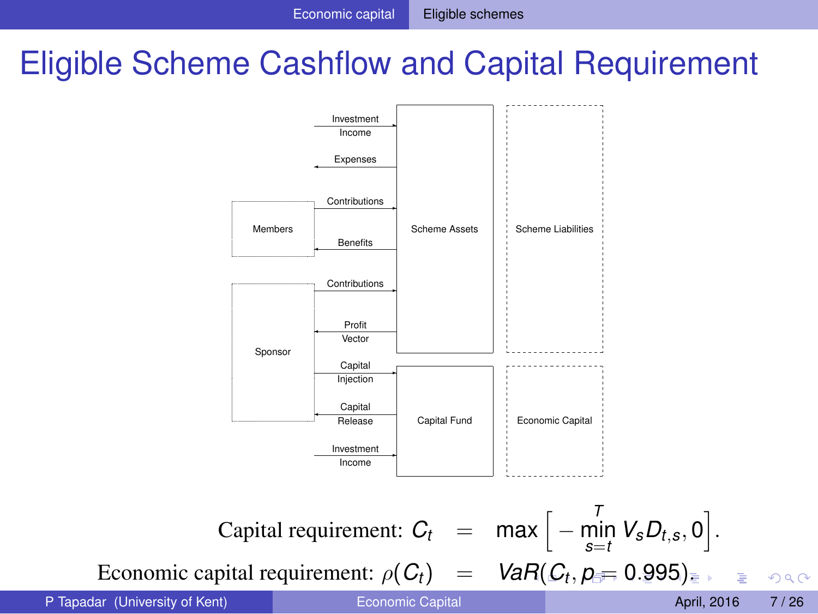### Eligible Scheme Cashflow and Capital Requirement



P Tapadar (University of Kent) **Example 2016** [Economic Capital](#page-0-0) April, 2016 **April, 2016** 7/26

<span id="page-7-0"></span> $2980$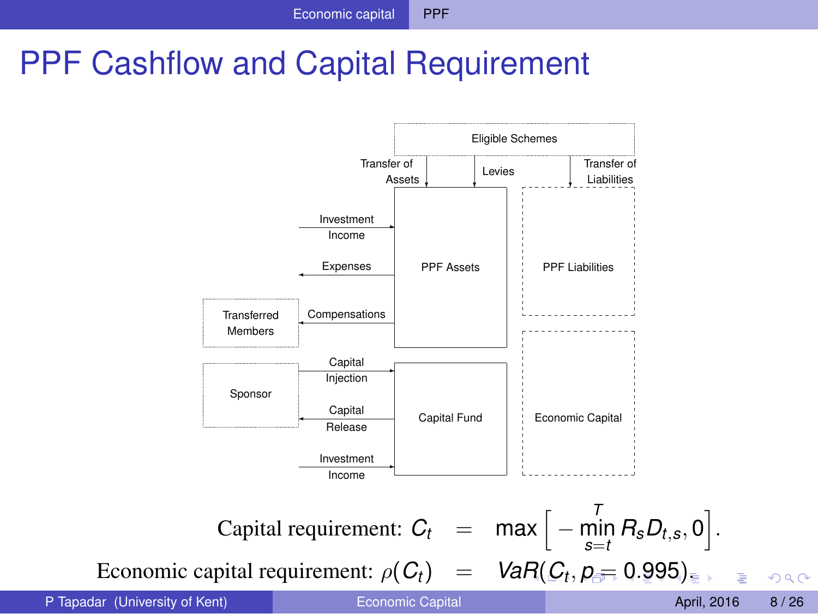### PPF Cashflow and Capital Requirement



<span id="page-8-0"></span> $QQ$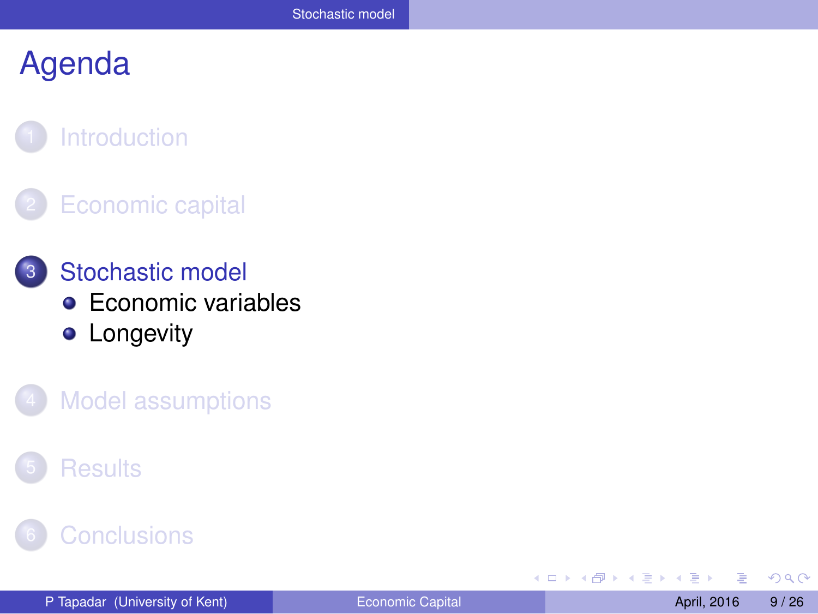#### **[Introduction](#page-2-0)**

#### **[Economic capital](#page-4-0)**

- 3 [Stochastic model](#page-8-0) **[Economic variables](#page-9-0) •** [Longevity](#page-10-0)
	- **[Model assumptions](#page-11-0)**

#### **[Results](#page-15-0)**

#### **[Conclusions](#page-24-0)**

4 0 8

画  $\mathcal{A}$  . 重き ×. 舌

×  $\sim$  <span id="page-9-0"></span> $\Omega$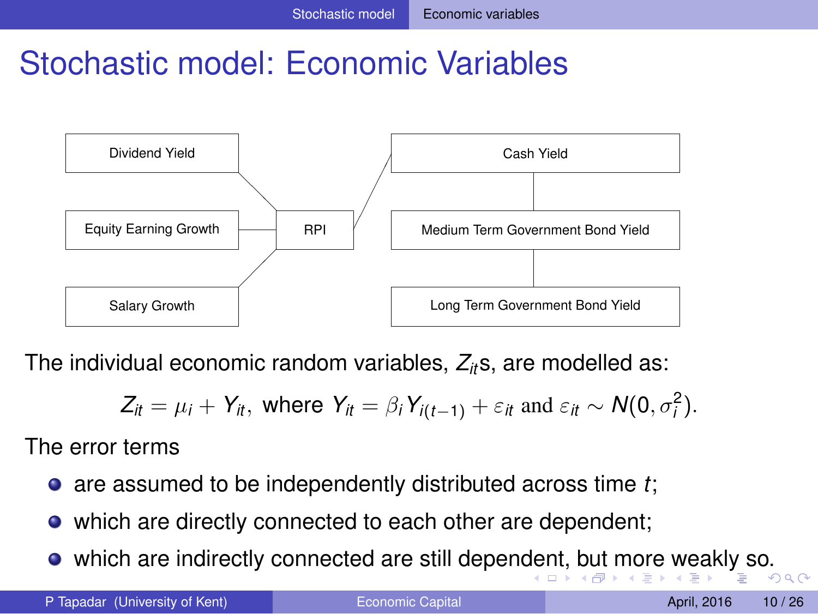### Stochastic model: Economic Variables



The individual economic random variables, *Zit*s, are modelled as:

<span id="page-10-0"></span>
$$
Z_{it} = \mu_i + Y_{it}, \text{ where } Y_{it} = \beta_i Y_{i(t-1)} + \varepsilon_{it} \text{ and } \varepsilon_{it} \sim N(0, \sigma_i^2).
$$

The error terms

- are assumed to be independently distributed across time *t*;
- which are directly connected to each other are dependent;
- which are indirectly connected are still [de](#page-8-0)penden[t,](#page-10-0) [b](#page-8-0)[ut](#page-9-0) [m](#page-10-0)[or](#page-9-0)[e](#page-8-0) [w](#page-7-0)e[ak](#page-11-0)[ly](#page-0-0) [so](#page-25-0).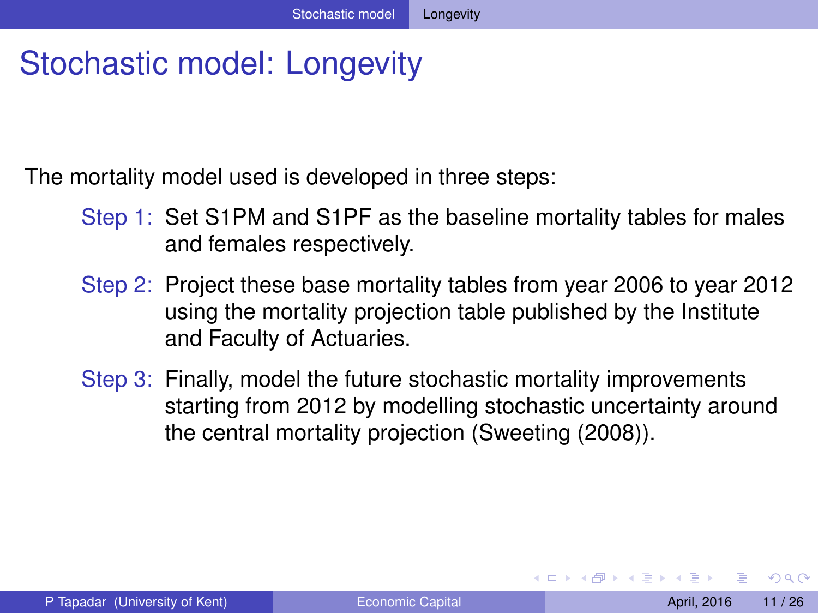### Stochastic model: Longevity

The mortality model used is developed in three steps:

- Step 1: Set S1PM and S1PF as the baseline mortality tables for males and females respectively.
- Step 2: Project these base mortality tables from year 2006 to year 2012 using the mortality projection table published by the Institute and Faculty of Actuaries.
- Step 3: Finally, model the future stochastic mortality improvements starting from 2012 by modelling stochastic uncertainty around the central mortality projection (Sweeting (2008)).

<span id="page-11-0"></span> $\Omega$ 

イロト イ押 トイラト イラト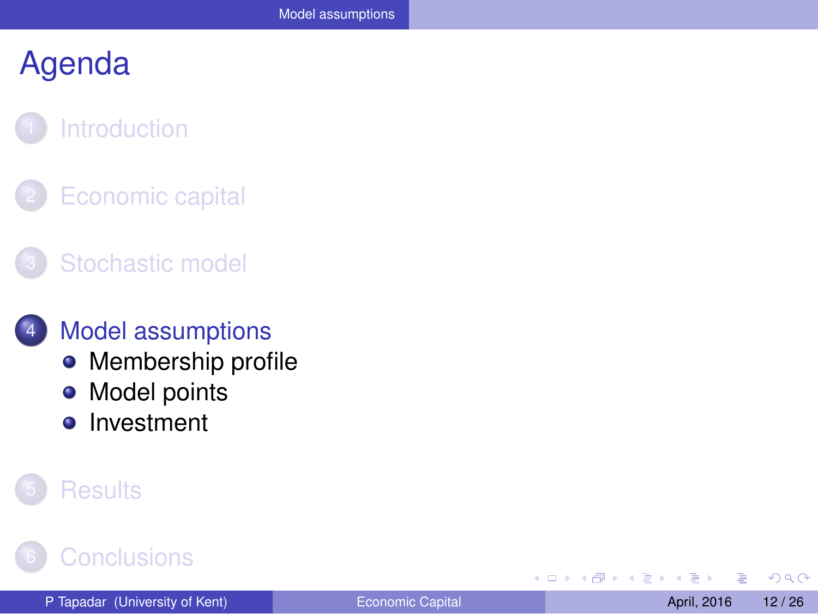### **[Introduction](#page-2-0)**

**[Economic capital](#page-4-0)** 

#### [Stochastic model](#page-8-0)

#### **[Model assumptions](#page-11-0)**

- [Membership profile](#page-12-0)
- [Model points](#page-13-0)  $\bullet$
- [Investment](#page-14-0)  $\bullet$

#### **[Results](#page-15-0)**

### **[Conclusions](#page-24-0)**

4 0 8

<span id="page-12-0"></span> $QQQ$ 

重き ×. Ξ

 $\sim$ ×.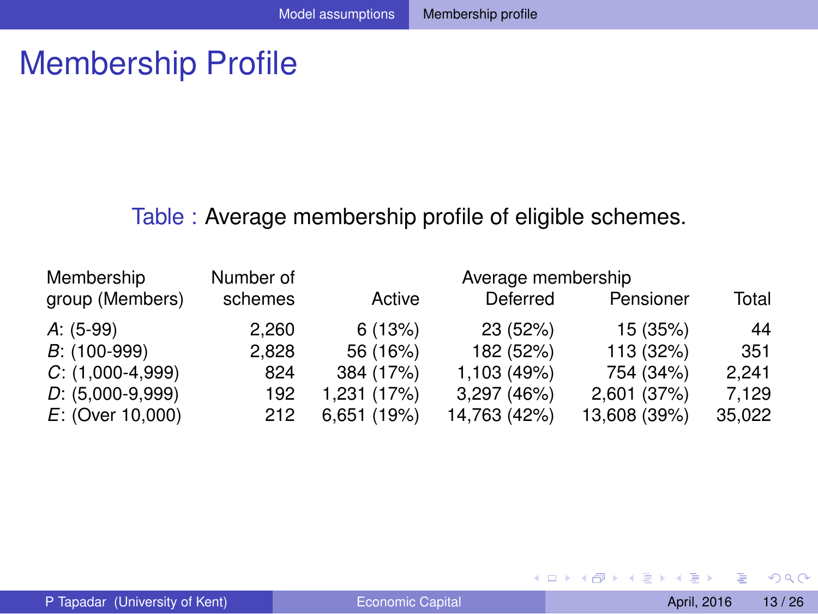### Membership Profile

#### Table : Average membership profile of eligible schemes.

| Membership         | Number of |             | Average membership |              |        |
|--------------------|-----------|-------------|--------------------|--------------|--------|
| group (Members)    | schemes   | Active      | Deferred           | Pensioner    | Total  |
| $A: (5-99)$        | 2,260     | 6(13%)      | 23 (52%)           | 15 (35%)     | 44     |
| $B$ : (100-999)    | 2.828     | 56 (16%)    | 182 (52%)          | 113 (32%)    | 351    |
| $C: (1,000-4,999)$ | 824       | 384 (17%)   | 1,103 (49%)        | 754 (34%)    | 2.241  |
| $D: (5,000-9,999)$ | 192       | 1,231 (17%) | 3,297 (46%)        | 2,601 (37%)  | 7.129  |
| $E:$ (Over 10,000) | 212       | 6,651 (19%) | 14,763 (42%)       | 13,608 (39%) | 35,022 |

 $\rightarrow$ 

<span id="page-13-0"></span> $299$ 

4 (D) 3 (F) 3 (F) 3 (F)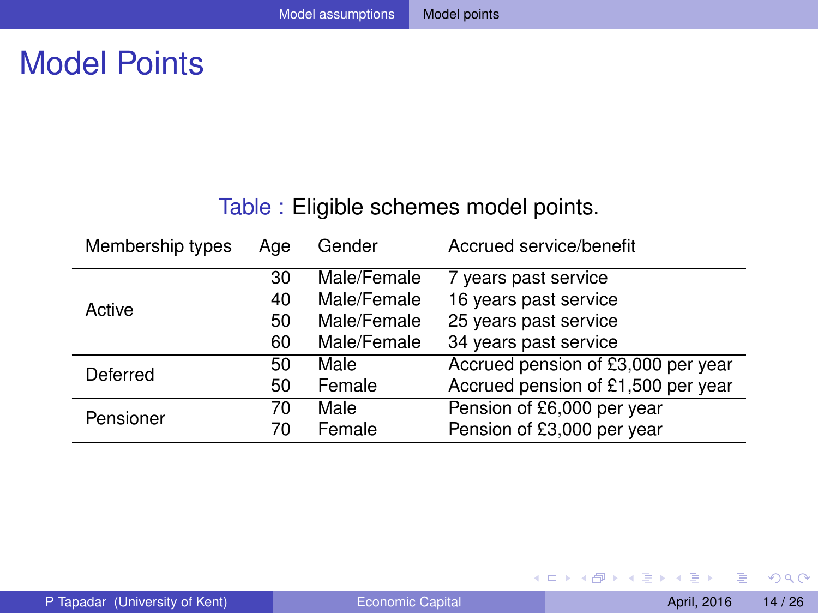### Model Points

#### Table : Eligible schemes model points.

| Membership types | Age | Gender      | Accrued service/benefit            |
|------------------|-----|-------------|------------------------------------|
|                  | 30  | Male/Female | 7 years past service               |
| Active           | 40  | Male/Female | 16 years past service              |
|                  | 50  | Male/Female | 25 years past service              |
|                  | 60  | Male/Female | 34 years past service              |
| Deferred         | 50  | Male        | Accrued pension of £3,000 per year |
|                  | 50  | Female      | Accrued pension of £1,500 per year |
| Pensioner        | 70  | Male        | Pension of £6,000 per year         |
|                  | 70  | Female      | Pension of £3,000 per year         |

<span id="page-14-0"></span> $299$ 

4 (D) 3 (F) 3 (F) 3 (F)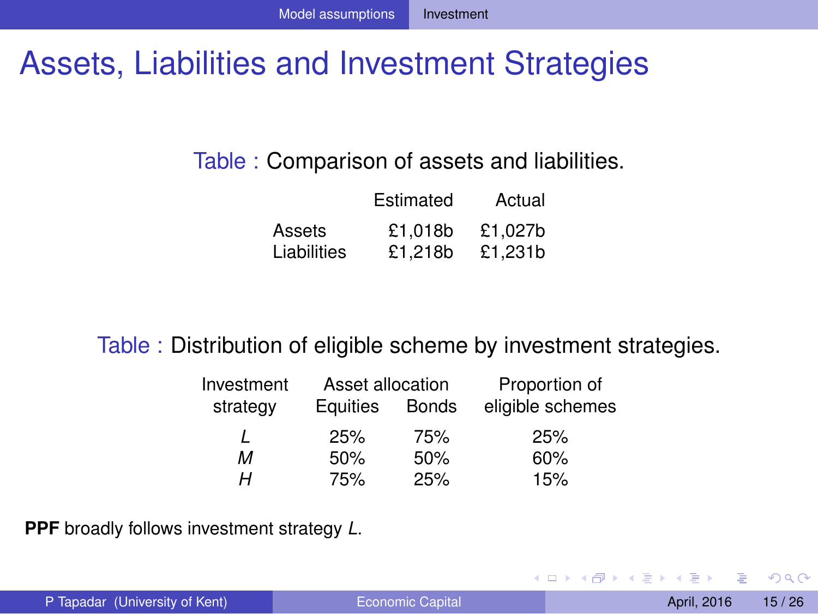### Assets, Liabilities and Investment Strategies

#### Table : Comparison of assets and liabilities.

|             | Estimated | Actual  |
|-------------|-----------|---------|
| Assets      | £1.018b   | £1.027b |
| Liabilities | £1.218b   | £1.231b |

#### Table : Distribution of eligible scheme by investment strategies.

| Investment | Asset allocation |              | Proportion of    |
|------------|------------------|--------------|------------------|
| strategy   | Equities         | <b>Bonds</b> | eligible schemes |
|            | 25%              | 75%          | 25%              |
| м          | 50%              | 50%          | 60%              |
| н          | 75%              | 25%          | 15%              |

**PPF** broadly follows investment strategy *L*.

<span id="page-15-0"></span> $\Omega$ 

 $\mathcal{A}$  . If  $\mathcal{B}$  and  $\mathcal{A}$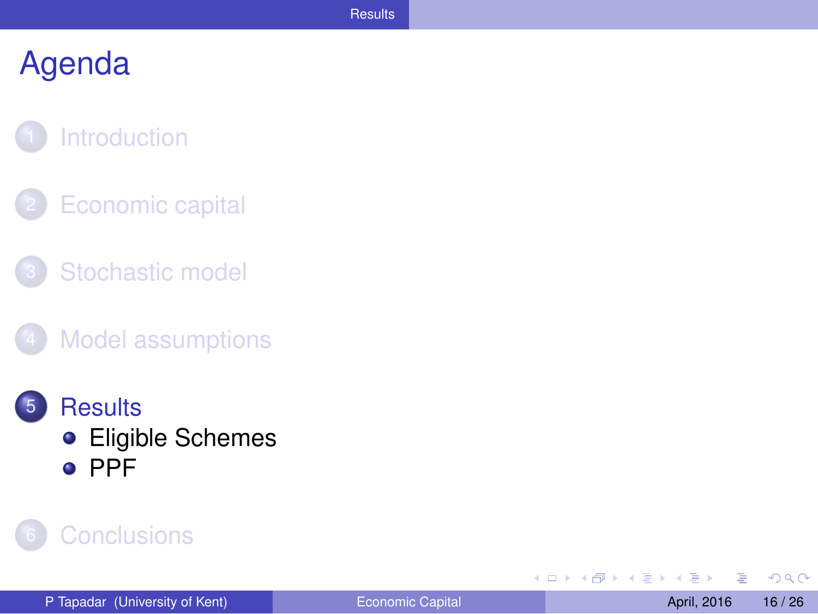#### **[Introduction](#page-2-0)**

- **[Economic capital](#page-4-0)**
- [Stochastic model](#page-8-0)
- **[Model assumptions](#page-11-0)**
- **[Results](#page-15-0) •** [Eligible Schemes](#page-16-0) o [PPF](#page-20-0)

#### **[Conclusions](#page-24-0)**

4 0 8  $\mathcal{A}$ A  $\mathbf{h}$  $A \equiv 0.4$ Ξ <span id="page-16-0"></span> $QQ$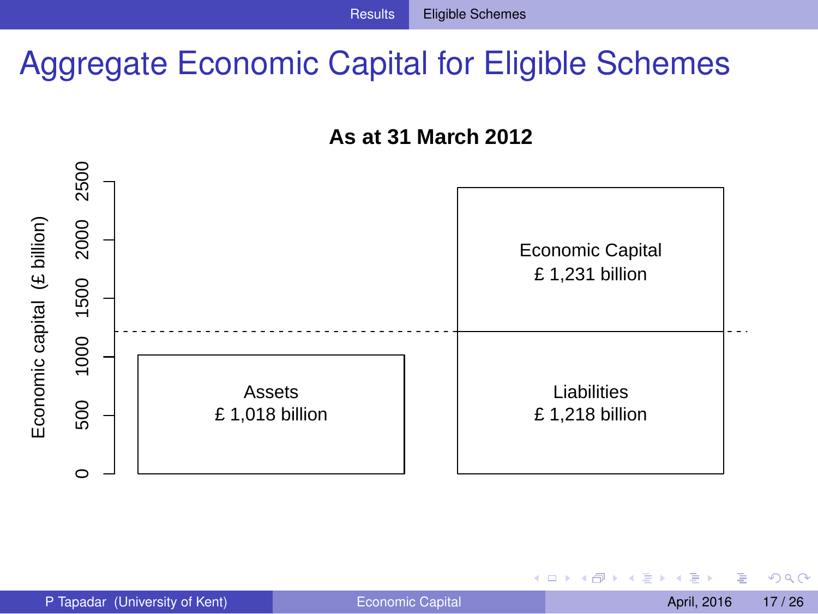### Aggregate Economic Capital for Eligible Schemes





4 0 8

<span id="page-17-0"></span> $QQQ$ 

 $A \equiv 0.14$ 舌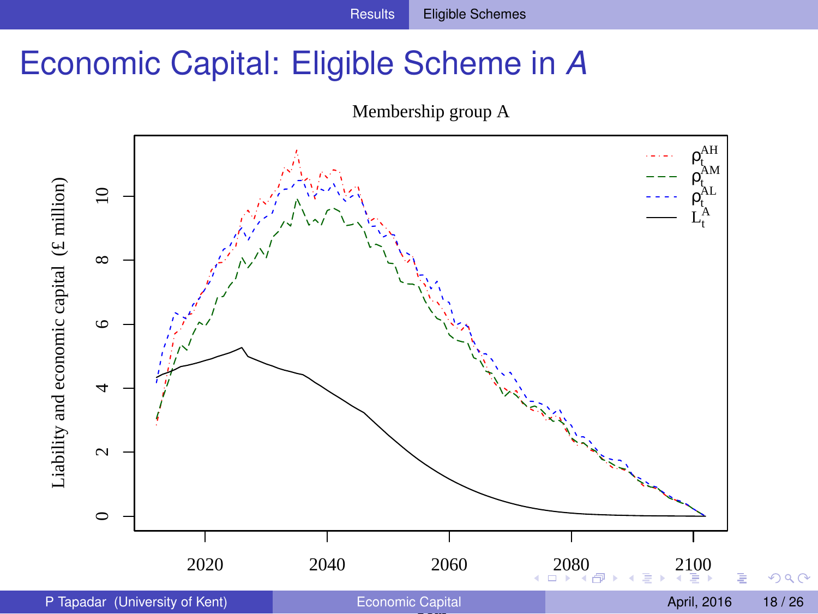### Economic Capital: Eligible Scheme in *A*

<span id="page-18-0"></span>

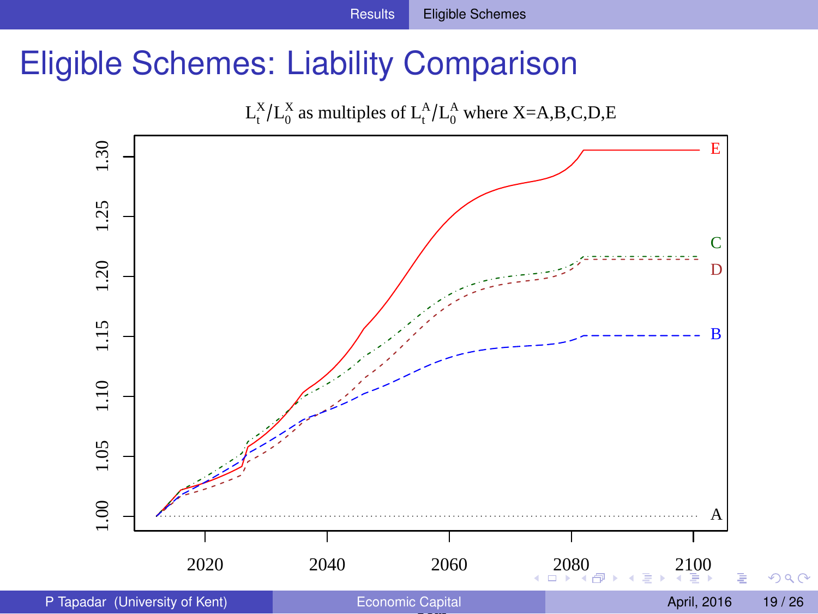### Eligible Schemes: Liability Comparison

<span id="page-19-0"></span>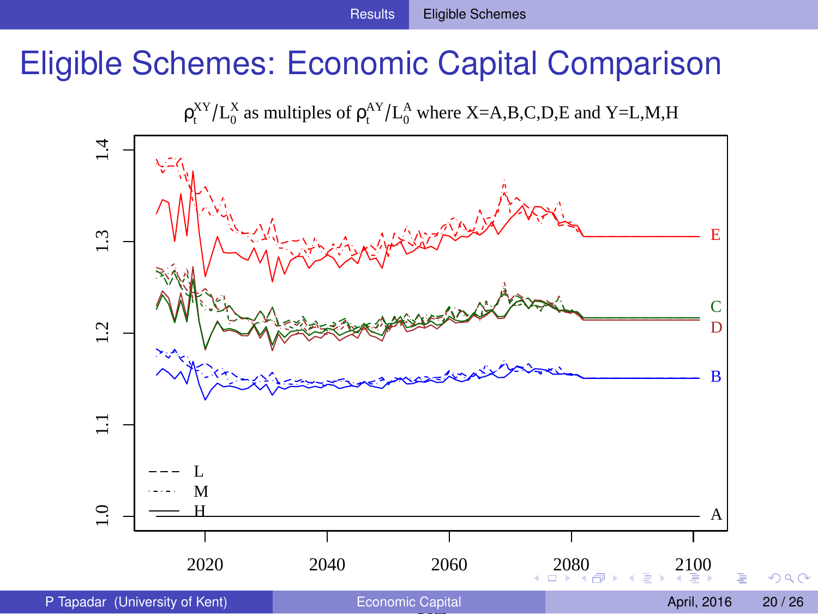### Eligible Schemes: Economic Capital Comparison

<span id="page-20-0"></span> $\rho_t^{XY}/L_0^X$  as multiples of  $\rho_t^{AY}/L_0^A$  where X=A,B,C,D,E and Y=L,M,H

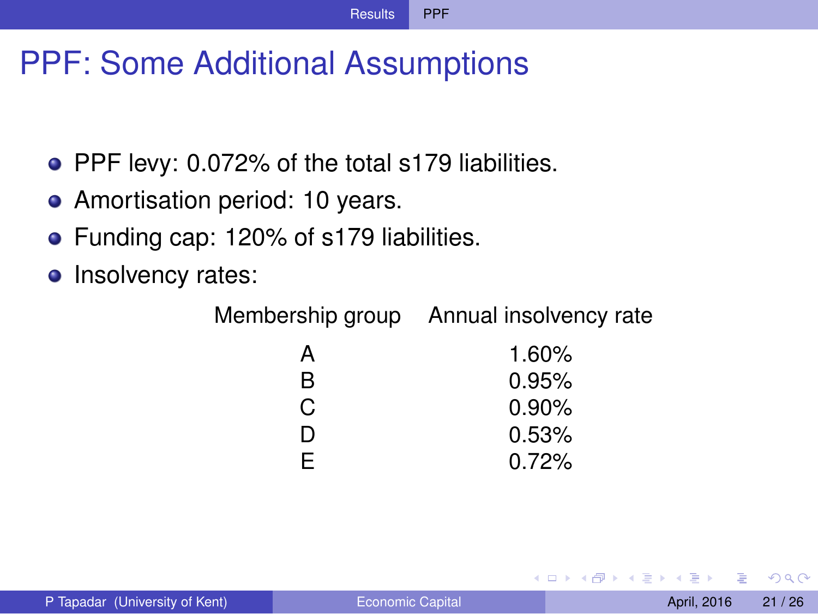### PPF: Some Additional Assumptions

- PPF levy: 0.072% of the total s179 liabilities.
- Amortisation period: 10 years.
- **•** Funding cap: 120% of s179 liabilities.
- Insolvency rates:

Membership group Annual insolvency rate

| А  | 1.60%    |
|----|----------|
| R  | 0.95%    |
| C. | $0.90\%$ |
| D  | 0.53%    |
| F. | 0.72%    |

<span id="page-21-0"></span> $\Omega$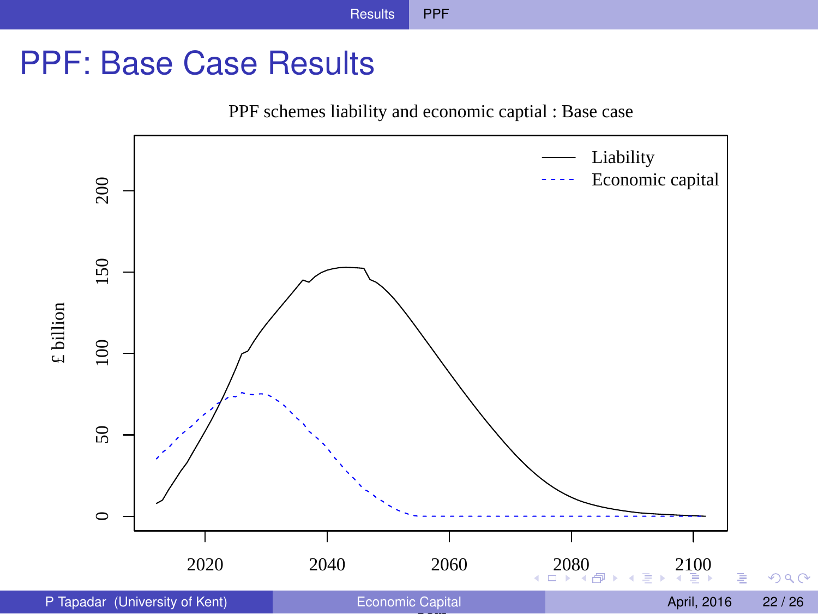### PPF: Base Case Results

<span id="page-22-0"></span>PPF schemes liability and economic captial : Base case

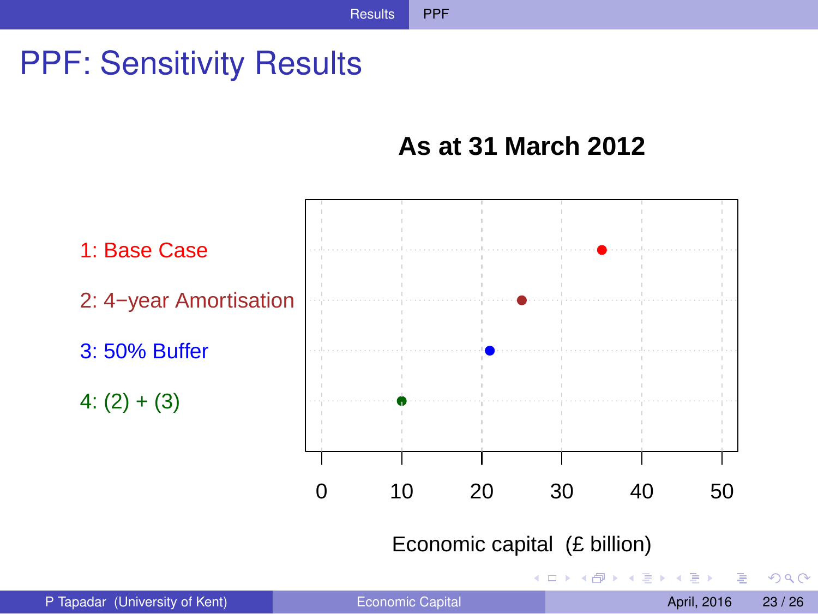### PPF: Sensitivity Results

#### <span id="page-23-0"></span>**As at 31 March 2012**

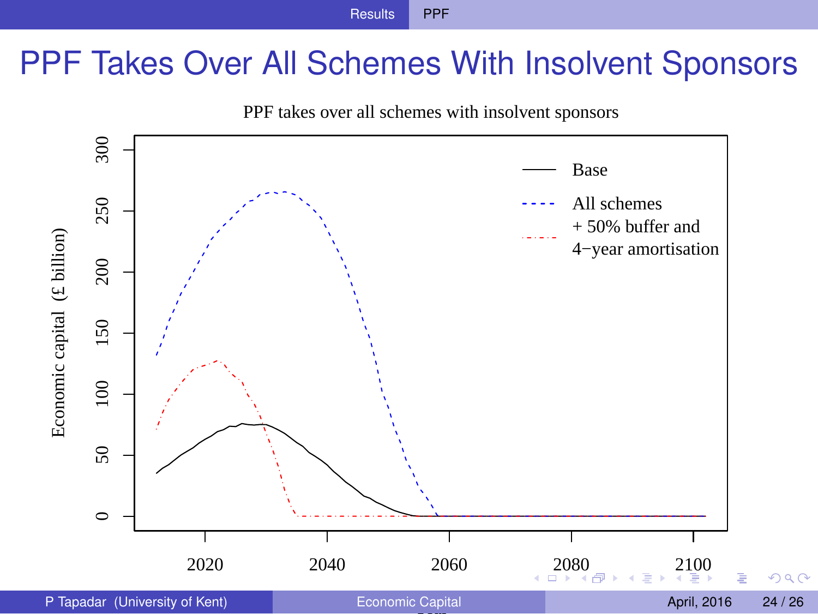### PPF Takes Over All Schemes With Insolvent Sponsors

<span id="page-24-0"></span>

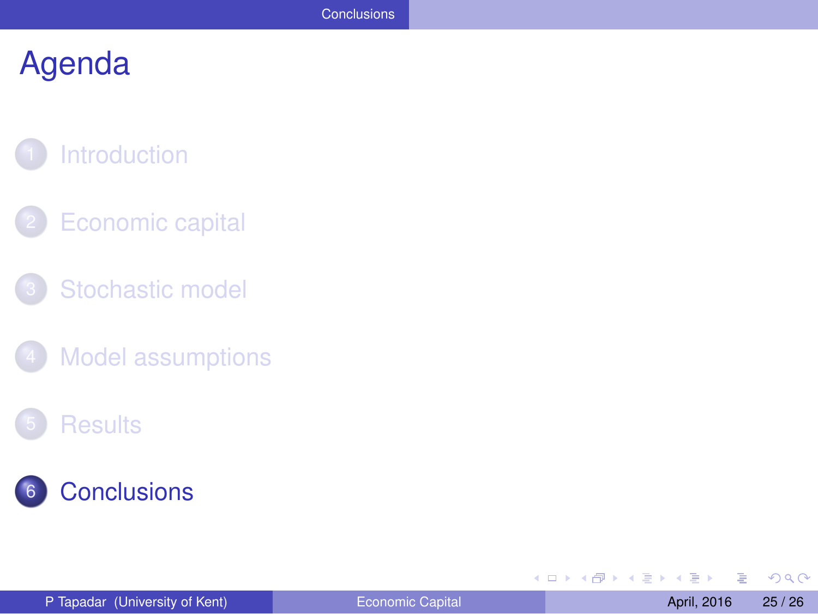### **[Introduction](#page-2-0)**

- **[Economic capital](#page-4-0)**
- [Stochastic model](#page-8-0)
- [Model assumptions](#page-11-0)

#### **[Results](#page-15-0)**



<span id="page-25-0"></span> $299$ 

**B** 

4 (D) 3 (F) 3 (F) 3 (F)